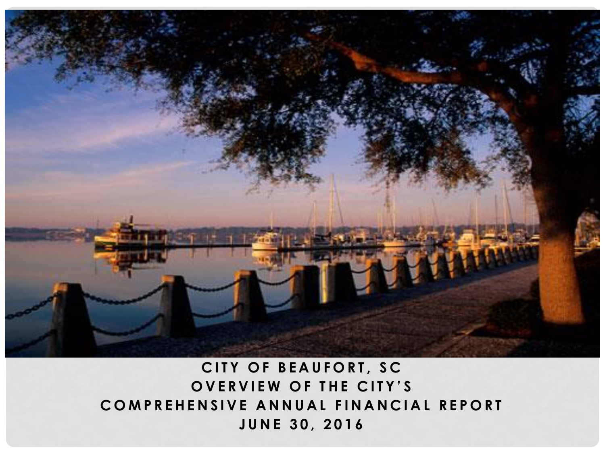

## **CITY OF BEAUFORT, SC OVERVIEW OF THE CITY'S COMPREHENSIVE ANNUAL FINANCIAL REPORT J U N E 3 0 , 2 0 1 6**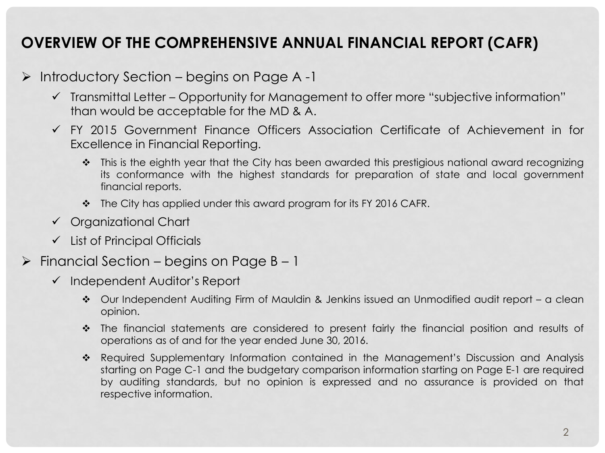### **OVERVIEW OF THE COMPREHENSIVE ANNUAL FINANCIAL REPORT (CAFR)**

- $\triangleright$  Introductory Section begins on Page A -1
	- $\checkmark$  Transmittal Letter Opportunity for Management to offer more "subjective information" than would be acceptable for the MD & A.
	- FY 2015 Government Finance Officers Association Certificate of Achievement in for Excellence in Financial Reporting.
		- $\cdot$  This is the eighth year that the City has been awarded this prestigious national award recognizing its conformance with the highest standards for preparation of state and local government financial reports.
		- $\div$  The City has applied under this award program for its FY 2016 CAFR.
	- Organizational Chart
	- $\checkmark$  List of Principal Officials
- $\triangleright$  Financial Section begins on Page B 1
	- $\checkmark$  Independent Auditor's Report
		- Our Independent Auditing Firm of Mauldin & Jenkins issued an Unmodified audit report a clean opinion.
		- \* The financial statements are considered to present fairly the financial position and results of operations as of and for the year ended June 30, 2016.
		- \* Required Supplementary Information contained in the Management's Discussion and Analysis starting on Page C-1 and the budgetary comparison information starting on Page E-1 are required by auditing standards, but no opinion is expressed and no assurance is provided on that respective information.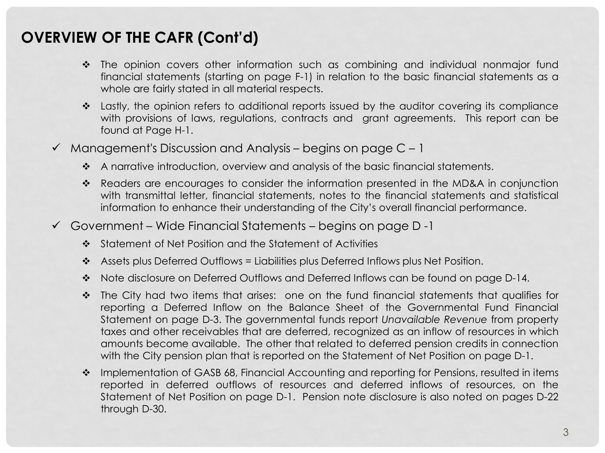- The opinion covers other information such as combining and individual nonmajor fund financial statements (starting on page F-1) in relation to the basic financial statements as a whole are fairly stated in all material respects.
- Lastly, the opinion refers to additional reports issued by the auditor covering its compliance with provisions of laws, regulations, contracts and grant agreements. This report can be found at Page H-1.
- $\checkmark$  Management's Discussion and Analysis begins on page C 1
	- A narrative introduction, overview and analysis of the basic financial statements.
	- Readers are encourages to consider the information presented in the MD&A in conjunction with transmittal letter, financial statements, notes to the financial statements and statistical information to enhance their understanding of the City's overall financial performance.
- $\checkmark$  Government Wide Financial Statements begins on page D -1
	- $\clubsuit$  Statement of Net Position and the Statement of Activities
	- $\cdot$  Assets plus Deferred Outflows = Liabilities plus Deferred Inflows plus Net Position.
	- Note disclosure on Deferred Outflows and Deferred Inflows can be found on page D-14.
	- $\cdot \cdot$  The City had two items that arises: one on the fund financial statements that qualifies for reporting a Deferred Inflow on the Balance Sheet of the Governmental Fund Financial Statement on page D-3. The governmental funds report *Unavailable Revenue* from property taxes and other receivables that are deferred, recognized as an inflow of resources in which amounts become available. The other that related to deferred pension credits in connection with the City pension plan that is reported on the Statement of Net Position on page D-1.
	- \* Implementation of GASB 68, Financial Accounting and reporting for Pensions, resulted in items reported in deferred outflows of resources and deferred inflows of resources, on the Statement of Net Position on page D-1. Pension note disclosure is also noted on pages D-22 through D-30.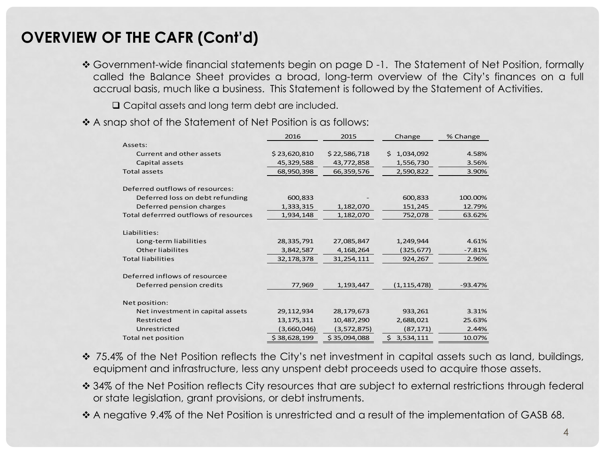\* Government-wide financial statements begin on page D -1. The Statement of Net Position, formally called the Balance Sheet provides a broad, long-term overview of the City's finances on a full accrual basis, much like a business. This Statement is followed by the Statement of Activities.

□ Capital assets and long term debt are included.

A snap shot of the Statement of Net Position is as follows:

|                                       | 2016         | 2015         | Change          | % Change  |
|---------------------------------------|--------------|--------------|-----------------|-----------|
| Assets:                               |              |              |                 |           |
| Current and other assets              | \$23,620,810 | \$22,586,718 | Ś.<br>1,034,092 | 4.58%     |
| Capital assets                        | 45,329,588   | 43,772,858   | 1,556,730       | 3.56%     |
| <b>Total assets</b>                   | 68,950,398   | 66,359,576   | 2,590,822       | 3.90%     |
| Deferred outflows of resources:       |              |              |                 |           |
| Deferred loss on debt refunding       | 600,833      |              | 600,833         | 100.00%   |
| Deferred pension charges              | 1,333,315    | 1,182,070    | 151,245         | 12.79%    |
| Total deferrred outflows of resources | 1,934,148    | 1,182,070    | 752,078         | 63.62%    |
| Liabilities:                          |              |              |                 |           |
| Long-term liabilities                 | 28,335,791   | 27,085,847   | 1,249,944       | 4.61%     |
| Other liabilites                      | 3,842,587    | 4,168,264    | (325, 677)      | $-7.81%$  |
| <b>Total liabilities</b>              | 32,178,378   | 31,254,111   | 924,267         | 2.96%     |
| Deferred inflows of resourcee         |              |              |                 |           |
| Deferred pension credits              | 77,969       | 1,193,447    | (1, 115, 478)   | $-93.47%$ |
| Net position:                         |              |              |                 |           |
| Net investment in capital assets      | 29,112,934   | 28,179,673   | 933,261         | 3.31%     |
| Restricted                            | 13, 175, 311 | 10,487,290   | 2,688,021       | 25.63%    |
| Unrestricted                          | (3,660,046)  | (3,572,875)  | (87, 171)       | 2.44%     |
| Total net position                    | \$38,628,199 | \$35,094,088 | \$3,534,111     | 10.07%    |

- ◆ 75.4% of the Net Position reflects the City's net investment in capital assets such as land, buildings, equipment and infrastructure, less any unspent debt proceeds used to acquire those assets.
- ◆ 34% of the Net Position reflects City resources that are subject to external restrictions through federal or state legislation, grant provisions, or debt instruments.
- \* A negative 9.4% of the Net Position is unrestricted and a result of the implementation of GASB 68.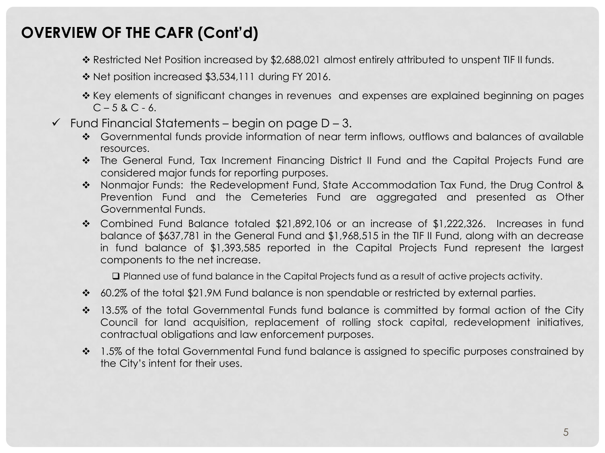- \* Restricted Net Position increased by \$2,688,021 almost entirely attributed to unspent TIF II funds.
- Net position increased \$3,534,111 during FY 2016.
- \* Key elements of significant changes in revenues and expenses are explained beginning on pages  $C - 5 & C - 6$ .
- $\checkmark$  Fund Financial Statements begin on page D 3.
	- \* Governmental funds provide information of near term inflows, outflows and balances of available resources.
	- The General Fund, Tax Increment Financing District II Fund and the Capital Projects Fund are considered major funds for reporting purposes.
	- \* Nonmajor Funds: the Redevelopment Fund, State Accommodation Tax Fund, the Drug Control & Prevention Fund and the Cemeteries Fund are aggregated and presented as Other Governmental Funds.
	- \* Combined Fund Balance totaled \$21,892,106 or an increase of \$1,222,326. Increases in fund balance of \$637,781 in the General Fund and \$1,968,515 in the TIF II Fund, along with an decrease in fund balance of \$1,393,585 reported in the Capital Projects Fund represent the largest components to the net increase.

Planned use of fund balance in the Capital Projects fund as a result of active projects activity.

- 60.2% of the total \$21.9M Fund balance is non spendable or restricted by external parties.
- <sup>2</sup> 13.5% of the total Governmental Funds fund balance is committed by formal action of the City Council for land acquisition, replacement of rolling stock capital, redevelopment initiatives, contractual obligations and law enforcement purposes.
- <sup>2</sup> 1.5% of the total Governmental Fund fund balance is assigned to specific purposes constrained by the City's intent for their uses.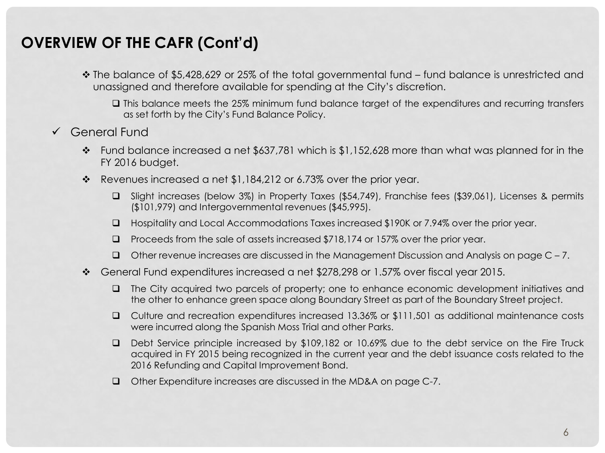- The balance of \$5,428,629 or 25% of the total governmental fund fund balance is unrestricted and unassigned and therefore available for spending at the City's discretion.
	- This balance meets the 25% minimum fund balance target of the expenditures and recurring transfers as set forth by the City's Fund Balance Policy.
- General Fund
	- $\cdot \cdot$  Fund balance increased a net \$637,781 which is \$1,152,628 more than what was planned for in the FY 2016 budget.
	- $\cdot \cdot$  Revenues increased a net \$1,184,212 or 6.73% over the prior year.
		- Slight increases (below 3%) in Property Taxes (\$54,749), Franchise fees (\$39,061), Licenses & permits (\$101,979) and Intergovernmental revenues (\$45,995).
		- Hospitality and Local Accommodations Taxes increased \$190K or 7.94% over the prior year.
		- Proceeds from the sale of assets increased \$718,174 or 157% over the prior year.
		- $\Box$  Other revenue increases are discussed in the Management Discussion and Analysis on page C 7.
	- General Fund expenditures increased a net \$278,298 or 1.57% over fiscal year 2015.
		- The City acquired two parcels of property; one to enhance economic development initiatives and the other to enhance green space along Boundary Street as part of the Boundary Street project.
		- Culture and recreation expenditures increased 13.36% or \$111,501 as additional maintenance costs were incurred along the Spanish Moss Trial and other Parks.
		- □ Debt Service principle increased by \$109,182 or 10.69% due to the debt service on the Fire Truck acquired in FY 2015 being recognized in the current year and the debt issuance costs related to the 2016 Refunding and Capital Improvement Bond.
		- Other Expenditure increases are discussed in the MD&A on page C-7.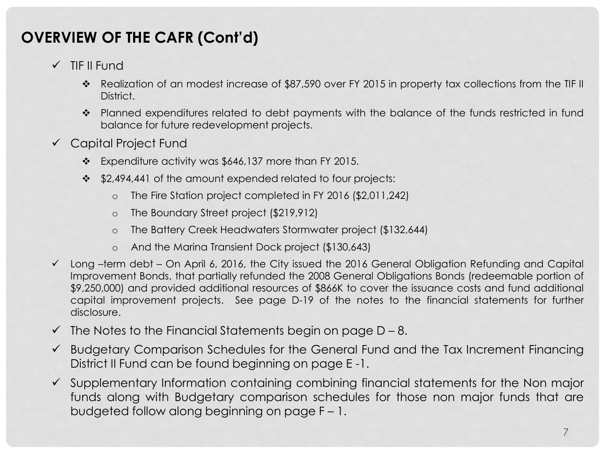- $\checkmark$  TIF II Fund
	- \* Realization of an modest increase of \$87,590 over FY 2015 in property tax collections from the TIF II District.
	- \* Planned expenditures related to debt payments with the balance of the funds restricted in fund balance for future redevelopment projects.
- Capital Project Fund
	- \* Expenditure activity was \$646,137 more than FY 2015.
	- \$2,494,441 of the amount expended related to four projects:
		- o The Fire Station project completed in FY 2016 (\$2,011,242)
		- o The Boundary Street project (\$219,912)
		- o The Battery Creek Headwaters Stormwater project (\$132,644)
		- o And the Marina Transient Dock project (\$130,643)
- $\checkmark$  Long –term debt On April 6, 2016, the City issued the 2016 General Obligation Refunding and Capital Improvement Bonds, that partially refunded the 2008 General Obligations Bonds (redeemable portion of \$9,250,000) and provided additional resources of \$866K to cover the issuance costs and fund additional capital improvement projects. See page D-19 of the notes to the financial statements for further disclosure.
- $\checkmark$  The Notes to the Financial Statements begin on page D 8.
- $\checkmark$  Budgetary Comparison Schedules for the General Fund and the Tax Increment Financing District II Fund can be found beginning on page E -1.
- $\checkmark$  Supplementary Information containing combining financial statements for the Non major funds along with Budgetary comparison schedules for those non major funds that are budgeted follow along beginning on page F – 1.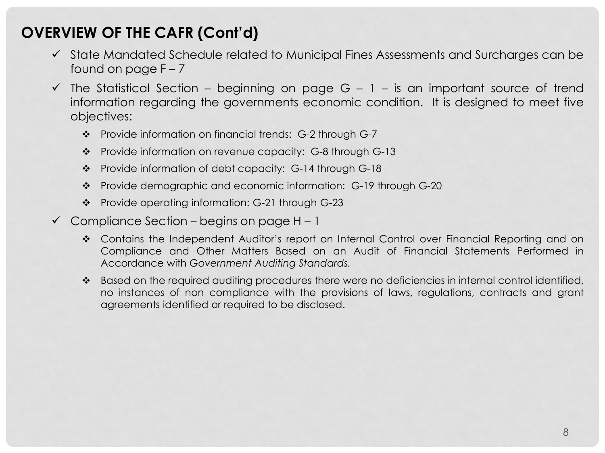- $\checkmark$  State Mandated Schedule related to Municipal Fines Assessments and Surcharges can be found on page  $F - 7$
- $\checkmark$  The Statistical Section beginning on page G 1 is an important source of trend information regarding the governments economic condition. It is designed to meet five objectives:
	- \* Provide information on financial trends: G-2 through G-7
	- Provide information on revenue capacity: G-8 through G-13
	- Provide information of debt capacity: G-14 through G-18
	- \* Provide demographic and economic information: G-19 through G-20
	- Provide operating information: G-21 through G-23
- $\checkmark$  Compliance Section begins on page H 1
	- \* Contains the Independent Auditor's report on Internal Control over Financial Reporting and on Compliance and Other Matters Based on an Audit of Financial Statements Performed in Accordance with *Government Auditing Standards.*
	- \* Based on the required auditing procedures there were no deficiencies in internal control identified, no instances of non compliance with the provisions of laws, regulations, contracts and grant agreements identified or required to be disclosed.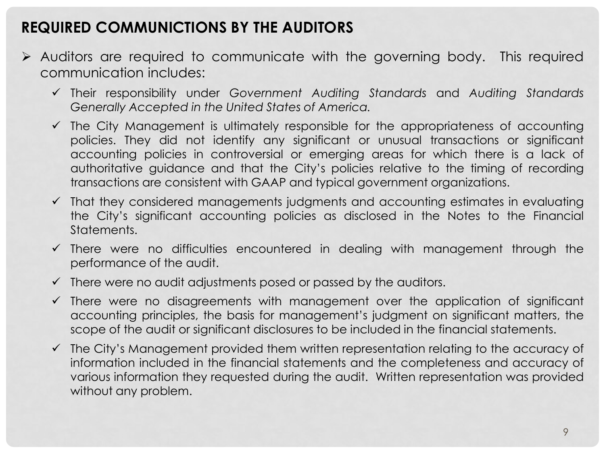#### **REQUIRED COMMUNICTIONS BY THE AUDITORS**

- Auditors are required to communicate with the governing body. This required communication includes:
	- Their responsibility under *Government Auditing Standards* and *Auditing Standards Generally Accepted in the United States of America.*
	- $\checkmark$  The City Management is ultimately responsible for the appropriateness of accounting policies. They did not identify any significant or unusual transactions or significant accounting policies in controversial or emerging areas for which there is a lack of authoritative guidance and that the City's policies relative to the timing of recording transactions are consistent with GAAP and typical government organizations.
	- $\checkmark$  That they considered managements judgments and accounting estimates in evaluating the City's significant accounting policies as disclosed in the Notes to the Financial Statements.
	- $\checkmark$  There were no difficulties encountered in dealing with management through the performance of the audit.
	- $\checkmark$  There were no audit adjustments posed or passed by the auditors.
	- $\checkmark$  There were no disagreements with management over the application of significant accounting principles, the basis for management's judgment on significant matters, the scope of the audit or significant disclosures to be included in the financial statements.
	- $\checkmark$  The City's Management provided them written representation relating to the accuracy of information included in the financial statements and the completeness and accuracy of various information they requested during the audit. Written representation was provided without any problem.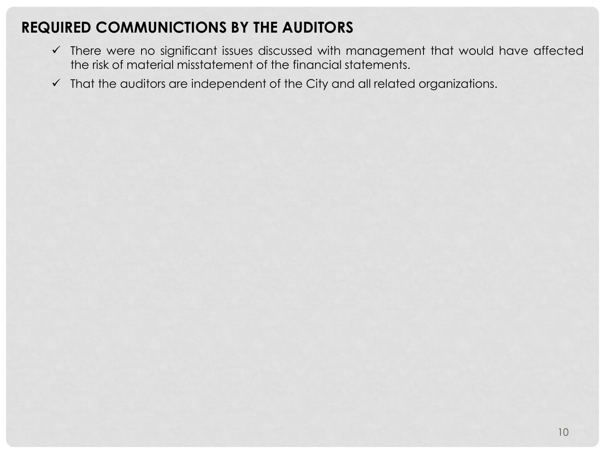## **REQUIRED COMMUNICTIONS BY THE AUDITORS**

- There were no significant issues discussed with management that would have affected the risk of material misstatement of the financial statements.
- $\checkmark$  That the auditors are independent of the City and all related organizations.